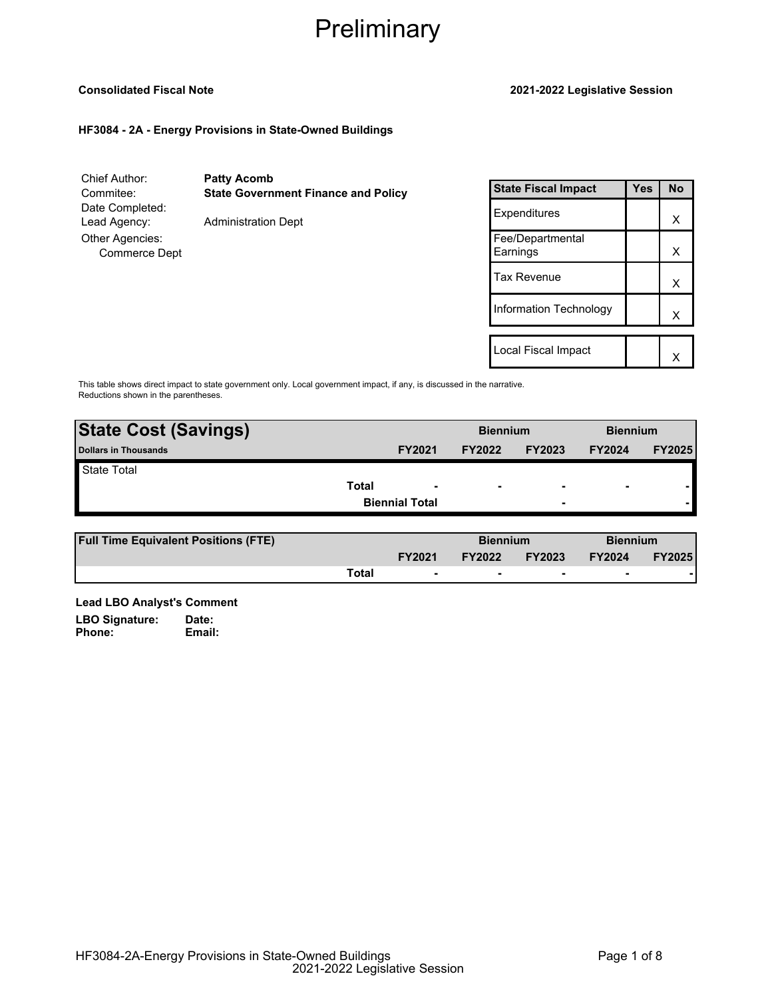### **Consolidated Fiscal Note 2021-2022 Legislative Session**

## **HF3084 - 2A - Energy Provisions in State-Owned Buildings**

| Chief Author:<br>Commitee:<br>Date Completed:           | <b>Patty Acomb</b><br><b>State Government Finance and Policy</b> |
|---------------------------------------------------------|------------------------------------------------------------------|
| Lead Agency:<br>Other Agencies:<br><b>Commerce Dept</b> | <b>Administration Dept</b>                                       |

| <b>State Fiscal Impact</b>   | Yes | <b>No</b> |
|------------------------------|-----|-----------|
| Expenditures                 |     | х         |
| Fee/Departmental<br>Earnings |     | x         |
| Tax Revenue                  |     | x         |
| Information Technology       |     | x         |
| Local Fiscal Impact          |     |           |
|                              |     |           |

This table shows direct impact to state government only. Local government impact, if any, is discussed in the narrative. Reductions shown in the parentheses.

| <b>State Cost (Savings)</b> |       |                          | <b>Biennium</b> |                          | <b>Biennium</b> |               |
|-----------------------------|-------|--------------------------|-----------------|--------------------------|-----------------|---------------|
| <b>Dollars in Thousands</b> |       | <b>FY2021</b>            | <b>FY2022</b>   | <b>FY2023</b>            | <b>FY2024</b>   | <b>FY2025</b> |
| <b>State Total</b>          |       |                          |                 |                          |                 |               |
|                             | Total | $\overline{\phantom{a}}$ | $\blacksquare$  | $\overline{\phantom{0}}$ | ٠               |               |
|                             |       | <b>Biennial Total</b>    |                 | ۰                        |                 |               |
|                             |       |                          |                 |                          |                 |               |

| <b>Full Time Equivalent Positions (FTE)</b> |       |                          | <b>Biennium</b> |               | <b>Biennium</b> |               |
|---------------------------------------------|-------|--------------------------|-----------------|---------------|-----------------|---------------|
|                                             |       | <b>FY2021</b>            | <b>FY2022</b>   | <b>FY2023</b> | <b>FY2024</b>   | <b>FY2025</b> |
|                                             | Total | $\overline{\phantom{0}}$ |                 |               | -               |               |

**Lead LBO Analyst's Comment** LBO Signature: Date:<br>Phone: Email: Phone: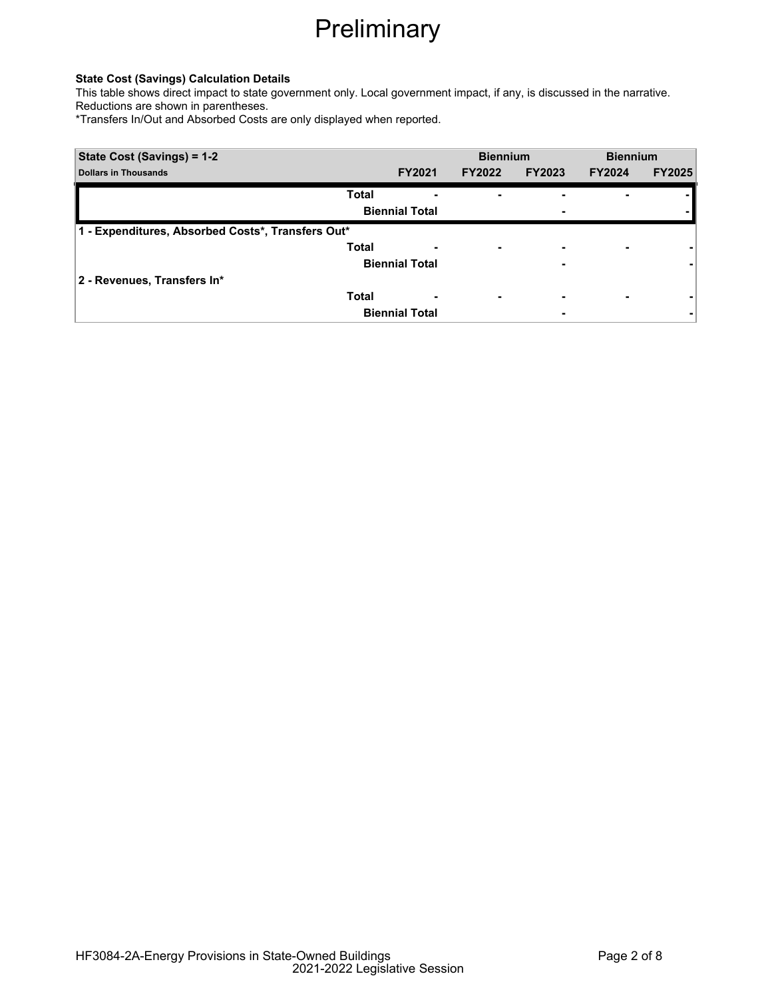## **State Cost (Savings) Calculation Details**

This table shows direct impact to state government only. Local government impact, if any, is discussed in the narrative. Reductions are shown in parentheses.

\*Transfers In/Out and Absorbed Costs are only displayed when reported.

| State Cost (Savings) = 1-2                        |                       |               | <b>Biennium</b> |               | <b>Biennium</b> |  |
|---------------------------------------------------|-----------------------|---------------|-----------------|---------------|-----------------|--|
| <b>Dollars in Thousands</b>                       | <b>FY2021</b>         | <b>FY2022</b> | <b>FY2023</b>   | <b>FY2024</b> | <b>FY2025</b>   |  |
| <b>Total</b>                                      | ٠                     |               |                 |               |                 |  |
|                                                   | <b>Biennial Total</b> |               |                 |               |                 |  |
| 1 - Expenditures, Absorbed Costs*, Transfers Out* |                       |               |                 |               |                 |  |
| <b>Total</b>                                      |                       |               |                 |               |                 |  |
|                                                   | <b>Biennial Total</b> |               |                 |               |                 |  |
| 2 - Revenues, Transfers In*                       |                       |               |                 |               |                 |  |
| <b>Total</b>                                      | ٠                     | -             |                 | ۰             |                 |  |
|                                                   | <b>Biennial Total</b> |               |                 |               |                 |  |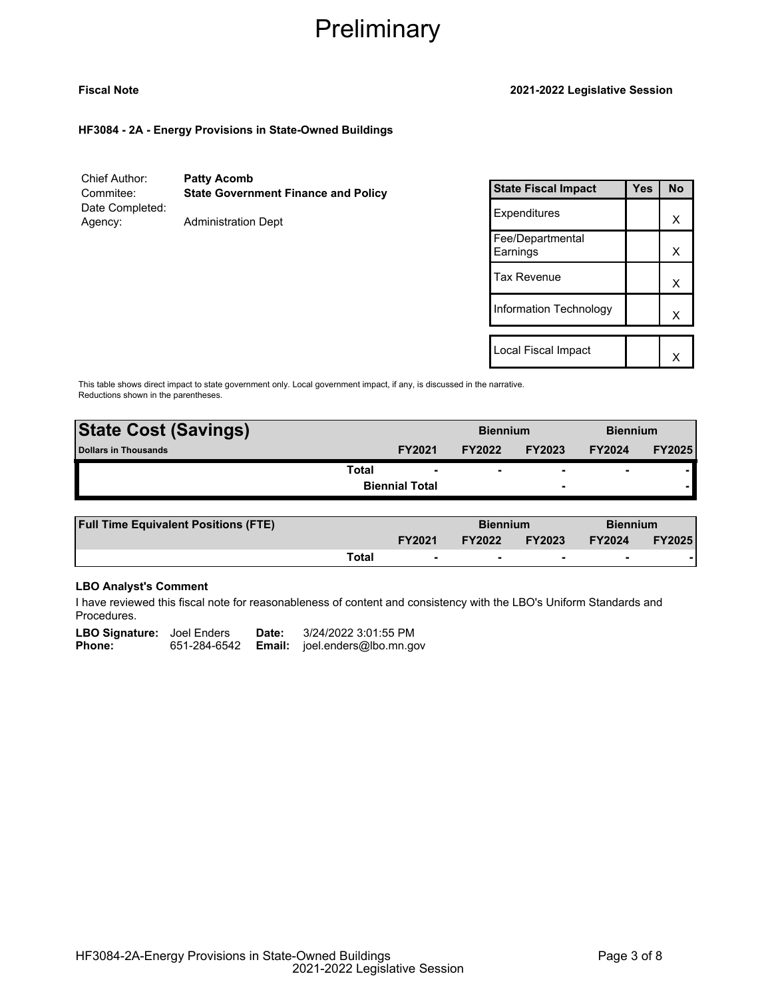### **Fiscal Note 2021-2022 Legislative Session**

**HF3084 - 2A - Energy Provisions in State-Owned Buildings**

Chief Author: **Patty Acomb** Commitee: **State Government Finance and Policy** Date Completed: Agency: Administration Dept

| <b>State Fiscal Impact</b>   | Yes | No |
|------------------------------|-----|----|
| Expenditures                 |     | x  |
| Fee/Departmental<br>Earnings |     | x  |
| Tax Revenue                  |     | x  |
| Information Technology       |     | x  |
|                              |     |    |
| Local Fiscal Impact          |     |    |

This table shows direct impact to state government only. Local government impact, if any, is discussed in the narrative. Reductions shown in the parentheses.

| <b>State Cost (Savings)</b> |                          | <b>Biennium</b> |                          | <b>Biennium</b>          |               |
|-----------------------------|--------------------------|-----------------|--------------------------|--------------------------|---------------|
| <b>Dollars in Thousands</b> | <b>FY2021</b>            | <b>FY2022</b>   | <b>FY2023</b>            | <b>FY2024</b>            | <b>FY2025</b> |
| Total                       | $\overline{\phantom{0}}$ | ۰               |                          | $\overline{\phantom{0}}$ |               |
|                             | <b>Biennial Total</b>    |                 | $\overline{\phantom{0}}$ |                          |               |
|                             |                          |                 |                          |                          |               |

| <b>Full Time Equivalent Positions (FTE)</b> |       |                          | <b>Biennium</b> |               | <b>Biennium</b> |               |
|---------------------------------------------|-------|--------------------------|-----------------|---------------|-----------------|---------------|
|                                             |       | <b>FY2021</b>            | <b>FY2022</b>   | <b>FY2023</b> | <b>FY2024</b>   | <b>FY2025</b> |
|                                             | Total | $\overline{\phantom{0}}$ |                 |               |                 |               |

# **LBO Analyst's Comment**

I have reviewed this fiscal note for reasonableness of content and consistency with the LBO's Uniform Standards and Procedures.

| <b>LBO Signature:</b> Joel Enders |              | Date: | 3/24/2022 3:01:55 PM                 |
|-----------------------------------|--------------|-------|--------------------------------------|
| <b>Phone:</b>                     | 651-284-6542 |       | <b>Email:</b> joel.enders@lbo.mn.gov |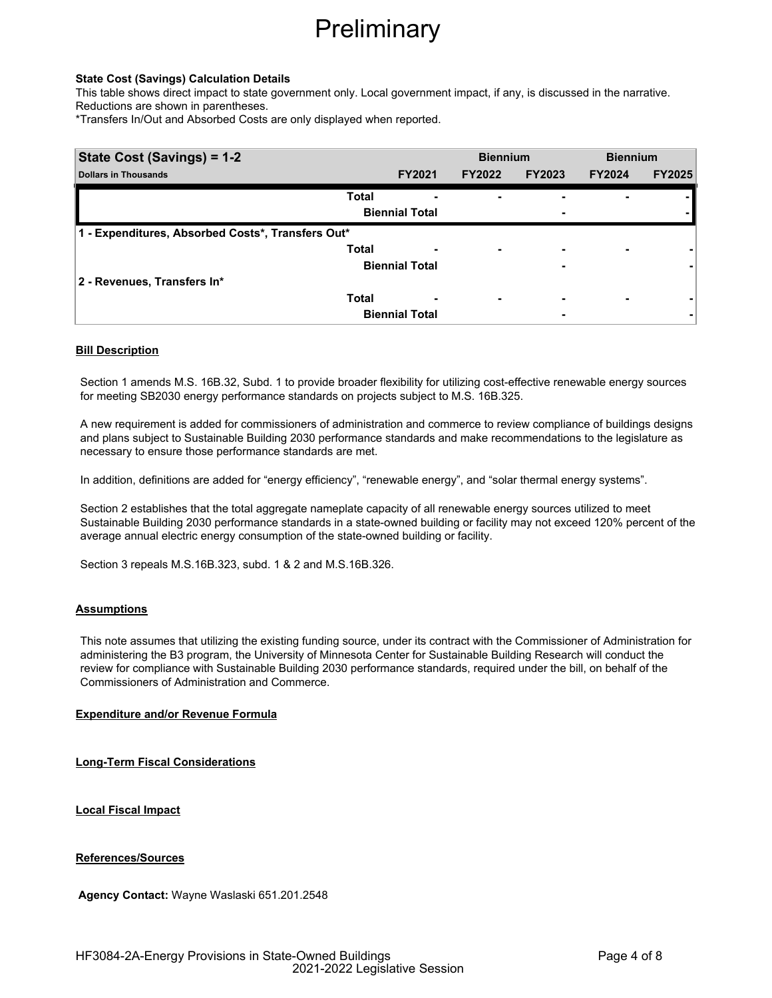### **State Cost (Savings) Calculation Details**

This table shows direct impact to state government only. Local government impact, if any, is discussed in the narrative. Reductions are shown in parentheses.

\*Transfers In/Out and Absorbed Costs are only displayed when reported.

| State Cost (Savings) = 1-2                        |              |                       | <b>Biennium</b> |                          | <b>Biennium</b> |               |
|---------------------------------------------------|--------------|-----------------------|-----------------|--------------------------|-----------------|---------------|
| <b>Dollars in Thousands</b>                       |              | <b>FY2021</b>         | <b>FY2022</b>   | <b>FY2023</b>            | <b>FY2024</b>   | <b>FY2025</b> |
|                                                   | <b>Total</b> |                       | ۰               | -                        |                 |               |
|                                                   |              | <b>Biennial Total</b> |                 | ٠                        |                 |               |
| 1 - Expenditures, Absorbed Costs*, Transfers Out* |              |                       |                 |                          |                 |               |
|                                                   | <b>Total</b> |                       | ٠               | $\overline{\phantom{0}}$ | ۰               |               |
|                                                   |              | <b>Biennial Total</b> |                 | ٠                        |                 |               |
| 2 - Revenues, Transfers In*                       |              |                       |                 |                          |                 |               |
|                                                   | <b>Total</b> |                       | ۰               | ٠                        |                 |               |
|                                                   |              | <b>Biennial Total</b> |                 | ٠                        |                 |               |

### **Bill Description**

Section 1 amends M.S. 16B.32, Subd. 1 to provide broader flexibility for utilizing cost-effective renewable energy sources for meeting SB2030 energy performance standards on projects subject to M.S. 16B.325.

A new requirement is added for commissioners of administration and commerce to review compliance of buildings designs and plans subject to Sustainable Building 2030 performance standards and make recommendations to the legislature as necessary to ensure those performance standards are met.

In addition, definitions are added for "energy efficiency", "renewable energy", and "solar thermal energy systems".

Section 2 establishes that the total aggregate nameplate capacity of all renewable energy sources utilized to meet Sustainable Building 2030 performance standards in a state-owned building or facility may not exceed 120% percent of the average annual electric energy consumption of the state-owned building or facility.

Section 3 repeals M.S.16B.323, subd. 1 & 2 and M.S.16B.326.

### **Assumptions**

This note assumes that utilizing the existing funding source, under its contract with the Commissioner of Administration for administering the B3 program, the University of Minnesota Center for Sustainable Building Research will conduct the review for compliance with Sustainable Building 2030 performance standards, required under the bill, on behalf of the Commissioners of Administration and Commerce.

## **Expenditure and/or Revenue Formula**

**Long-Term Fiscal Considerations**

**Local Fiscal Impact**

**References/Sources**

**Agency Contact:** Wayne Waslaski 651.201.2548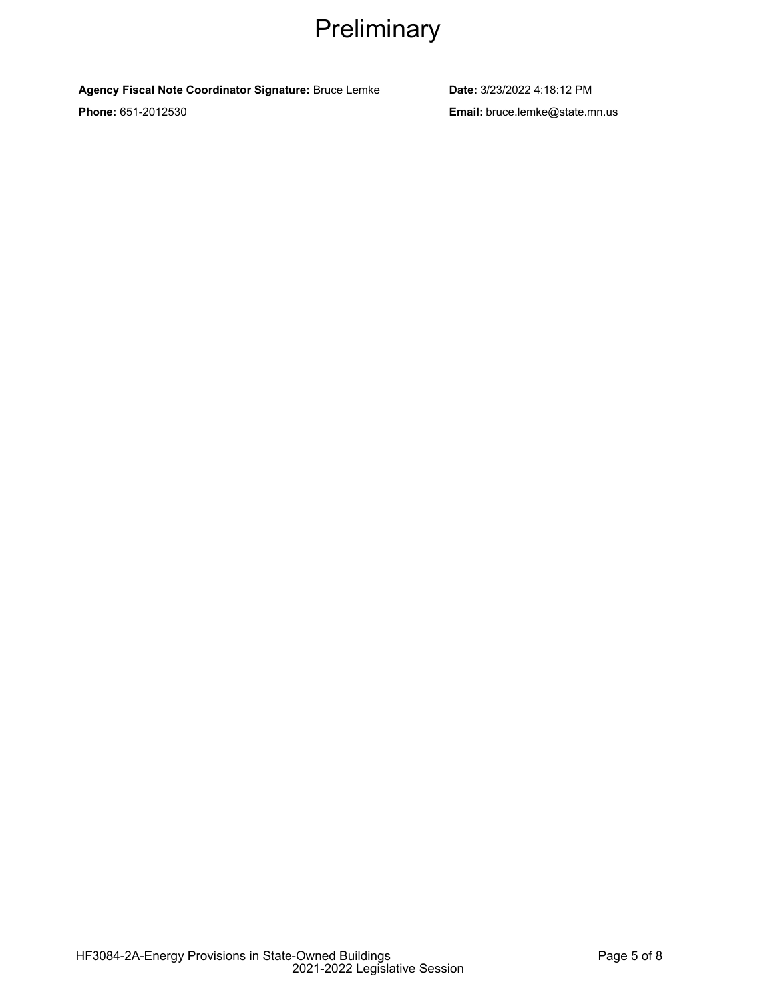# **Agency Fiscal Note Coordinator Signature:** Bruce Lemke **Date:** 3/23/2022 4:18:12 PM

**Phone:** 651-2012530 **Email:** bruce.lemke@state.mn.us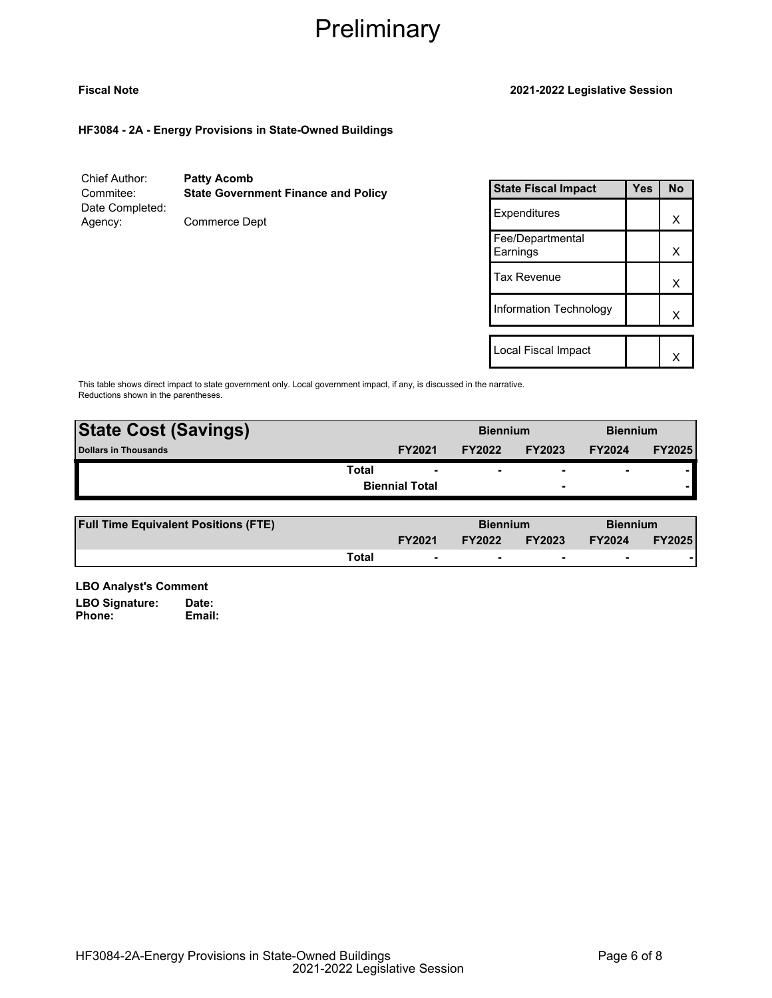## **Fiscal Note 2021-2022 Legislative Session**

**HF3084 - 2A - Energy Provisions in State-Owned Buildings**

Chief Author: **Patty Acomb** Commitee: **State Government Finance and Policy** Date Completed: Agency: Commerce Dept

| <b>State Fiscal Impact</b>   | Yes | <b>No</b> |
|------------------------------|-----|-----------|
| Expenditures                 |     | x         |
| Fee/Departmental<br>Earnings |     | х         |
| Tax Revenue                  |     | x         |
| Information Technology       |     | x         |
|                              |     |           |
| Local Fiscal Impact          |     |           |

This table shows direct impact to state government only. Local government impact, if any, is discussed in the narrative. Reductions shown in the parentheses.

| <b>State Cost (Savings)</b> |                       | <b>Biennium</b> |                          | <b>Biennium</b> |               |
|-----------------------------|-----------------------|-----------------|--------------------------|-----------------|---------------|
| <b>Dollars in Thousands</b> | <b>FY2021</b>         | <b>FY2022</b>   | <b>FY2023</b>            | <b>FY2024</b>   | <b>FY2025</b> |
| Total                       | $\blacksquare$        |                 | $\overline{\phantom{0}}$ | $\blacksquare$  |               |
|                             | <b>Biennial Total</b> |                 | $\overline{\phantom{a}}$ |                 |               |
|                             |                       |                 |                          |                 |               |

| <b>Full Time Equivalent Positions (FTE)</b> |       |                          | <b>Biennium</b> |                          | <b>Biennium</b>          |               |
|---------------------------------------------|-------|--------------------------|-----------------|--------------------------|--------------------------|---------------|
|                                             |       | <b>FY2021</b>            | <b>FY2022</b>   | <b>FY2023</b>            | <b>FY2024</b>            | <b>FY2025</b> |
|                                             | Total | $\overline{\phantom{0}}$ |                 | $\overline{\phantom{0}}$ | $\overline{\phantom{a}}$ |               |

**LBO Analyst's Comment** LBO Signature: Date:<br>Phone: **Email:** 

Phone: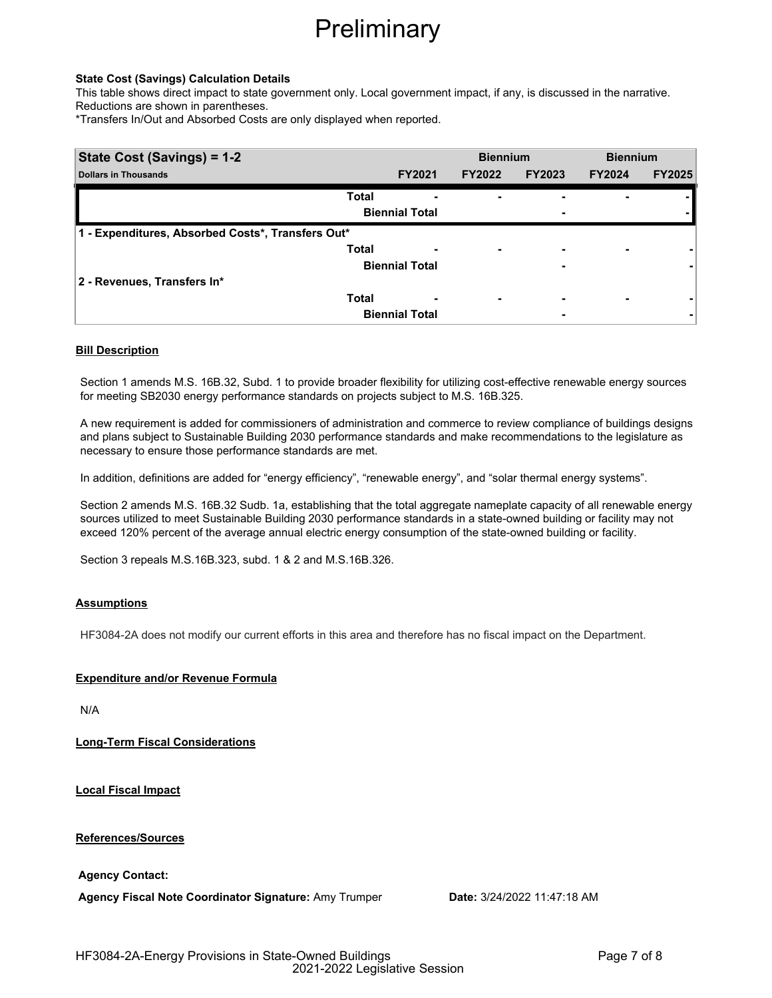### **State Cost (Savings) Calculation Details**

This table shows direct impact to state government only. Local government impact, if any, is discussed in the narrative. Reductions are shown in parentheses.

\*Transfers In/Out and Absorbed Costs are only displayed when reported.

| State Cost (Savings) = 1-2                        |                       |                       | <b>Biennium</b> |                          | <b>Biennium</b> |               |
|---------------------------------------------------|-----------------------|-----------------------|-----------------|--------------------------|-----------------|---------------|
| <b>Dollars in Thousands</b>                       |                       | <b>FY2021</b>         | <b>FY2022</b>   | <b>FY2023</b>            | <b>FY2024</b>   | <b>FY2025</b> |
|                                                   | <b>Total</b>          |                       | ۰               | -                        |                 |               |
|                                                   | <b>Biennial Total</b> |                       |                 | ٠                        |                 |               |
| 1 - Expenditures, Absorbed Costs*, Transfers Out* |                       |                       |                 |                          |                 |               |
|                                                   | <b>Total</b>          |                       | ٠               | $\overline{\phantom{0}}$ | ۰               |               |
|                                                   | <b>Biennial Total</b> |                       |                 | ٠                        |                 |               |
| 2 - Revenues, Transfers In*                       |                       |                       |                 |                          |                 |               |
|                                                   | <b>Total</b>          |                       | ۰               | ٠                        |                 |               |
|                                                   |                       | <b>Biennial Total</b> |                 | ٠                        |                 |               |

### **Bill Description**

Section 1 amends M.S. 16B.32, Subd. 1 to provide broader flexibility for utilizing cost-effective renewable energy sources for meeting SB2030 energy performance standards on projects subject to M.S. 16B.325.

A new requirement is added for commissioners of administration and commerce to review compliance of buildings designs and plans subject to Sustainable Building 2030 performance standards and make recommendations to the legislature as necessary to ensure those performance standards are met.

In addition, definitions are added for "energy efficiency", "renewable energy", and "solar thermal energy systems".

Section 2 amends M.S. 16B.32 Sudb. 1a, establishing that the total aggregate nameplate capacity of all renewable energy sources utilized to meet Sustainable Building 2030 performance standards in a state-owned building or facility may not exceed 120% percent of the average annual electric energy consumption of the state-owned building or facility.

Section 3 repeals M.S.16B.323, subd. 1 & 2 and M.S.16B.326.

### **Assumptions**

HF3084-2A does not modify our current efforts in this area and therefore has no fiscal impact on the Department.

### **Expenditure and/or Revenue Formula**

N/A

**Long-Term Fiscal Considerations**

**Local Fiscal Impact**

**References/Sources**

**Agency Contact:**

**Agency Fiscal Note Coordinator Signature:** Amy Trumper **Date:** 3/24/2022 11:47:18 AM